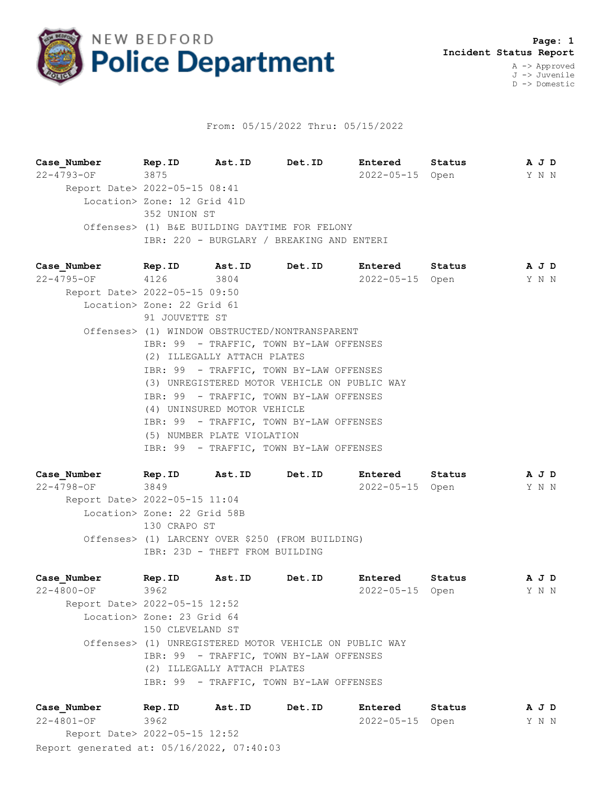

## From: 05/15/2022 Thru: 05/15/2022

**Case\_Number Rep.ID Ast.ID Det.ID Entered Status A J D** 22-4793-OF 3875 2022-05-15 Open Y N N Report Date> 2022-05-15 08:41 Location> Zone: 12 Grid 41D 352 UNION ST Offenses> (1) B&E BUILDING DAYTIME FOR FELONY IBR: 220 - BURGLARY / BREAKING AND ENTERI

**Case\_Number Rep.ID Ast.ID Det.ID Entered Status A J D** 22-4795-OF 4126 3804 2022-05-15 Open Y N N Report Date> 2022-05-15 09:50 Location> Zone: 22 Grid 61 91 JOUVETTE ST Offenses> (1) WINDOW OBSTRUCTED/NONTRANSPARENT IBR: 99 - TRAFFIC, TOWN BY-LAW OFFENSES (2) ILLEGALLY ATTACH PLATES IBR: 99 - TRAFFIC, TOWN BY-LAW OFFENSES (3) UNREGISTERED MOTOR VEHICLE ON PUBLIC WAY IBR: 99 - TRAFFIC, TOWN BY-LAW OFFENSES (4) UNINSURED MOTOR VEHICLE IBR: 99 - TRAFFIC, TOWN BY-LAW OFFENSES (5) NUMBER PLATE VIOLATION IBR: 99 - TRAFFIC, TOWN BY-LAW OFFENSES

**Case\_Number Rep.ID Ast.ID Det.ID Entered Status A J D** 22-4798-OF 3849 2022-05-15 Open Y N N Report Date> 2022-05-15 11:04 Location> Zone: 22 Grid 58B 130 CRAPO ST Offenses> (1) LARCENY OVER \$250 (FROM BUILDING) IBR: 23D - THEFT FROM BUILDING

**Case\_Number Rep.ID Ast.ID Det.ID Entered Status A J D** 22-4800-OF 3962 2022-05-15 Open Y N N Report Date> 2022-05-15 12:52 Location> Zone: 23 Grid 64 150 CLEVELAND ST Offenses> (1) UNREGISTERED MOTOR VEHICLE ON PUBLIC WAY IBR: 99 - TRAFFIC, TOWN BY-LAW OFFENSES (2) ILLEGALLY ATTACH PLATES IBR: 99 - TRAFFIC, TOWN BY-LAW OFFENSES

Report generated at: 05/16/2022, 07:40:03 **Case\_Number Rep.ID Ast.ID Det.ID Entered Status A J D** 22-4801-OF 3962 2022-05-15 Open Y N N Report Date> 2022-05-15 12:52